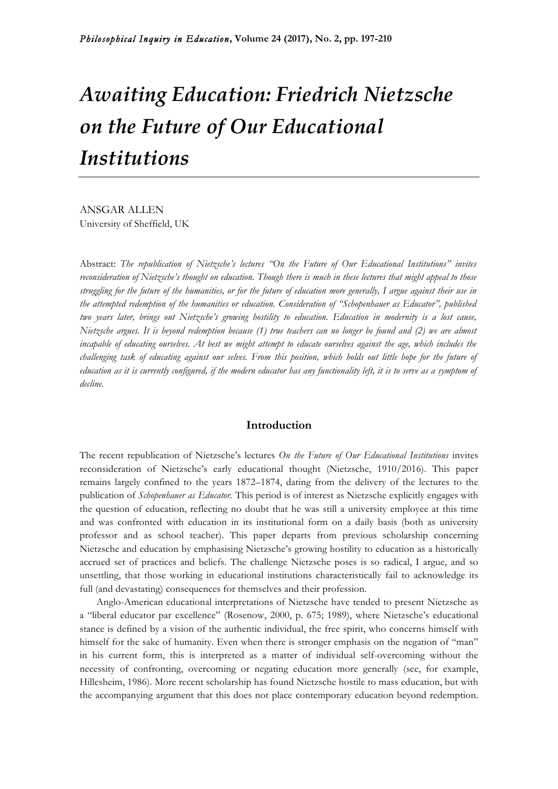# *Awaiting Education: Friedrich Nietzsche on the Future of Our Educational Institutions*

ANSGAR ALLEN University of Sheffield, UK

Abstract: *The republication of Nietzsche's lectures "On the Future of Our Educational Institutions" invites reconsideration of Nietzsche's thought on education. Though there is much in these lectures that might appeal to those struggling for the future of the humanities, or for the future of education more generally, I argue against their use in the attempted redemption of the humanities or education. Consideration of "Schopenhauer as Educator", published two years later, brings out Nietzsche's growing hostility to education. Education in modernity is a lost cause, Nietzsche argues. It is beyond redemption because (1) true teachers can no longer be found and (2) we are almost incapable of educating ourselves. At best we might attempt to educate ourselves against the age, which includes the challenging task of educating against our selves. From this position, which holds out little hope for the future of education as it is currently configured, if the modern educator has any functionality left, it is to serve as a symptom of decline.*

## **Introduction**

The recent republication of Nietzsche's lectures *On the Future of Our Educational Institutions* invites reconsideration of Nietzsche's early educational thought (Nietzsche, 1910/2016). This paper remains largely confined to the years 1872–1874, dating from the delivery of the lectures to the publication of *Schopenhauer as Educator.* This period is of interest as Nietzsche explicitly engages with the question of education, reflecting no doubt that he was still a university employee at this time and was confronted with education in its institutional form on a daily basis (both as university professor and as school teacher). This paper departs from previous scholarship concerning Nietzsche and education by emphasising Nietzsche's growing hostility to education as a historically accrued set of practices and beliefs. The challenge Nietzsche poses is so radical, I argue, and so unsettling, that those working in educational institutions characteristically fail to acknowledge its full (and devastating) consequences for themselves and their profession.

Anglo-American educational interpretations of Nietzsche have tended to present Nietzsche as a "liberal educator par excellence" (Rosenow, 2000, p. 675; 1989), where Nietzsche's educational stance is defined by a vision of the authentic individual, the free spirit, who concerns himself with himself for the sake of humanity. Even when there is stronger emphasis on the negation of "man" in his current form, this is interpreted as a matter of individual self-overcoming without the necessity of confronting, overcoming or negating education more generally (see, for example, Hillesheim, 1986). More recent scholarship has found Nietzsche hostile to mass education, but with the accompanying argument that this does not place contemporary education beyond redemption.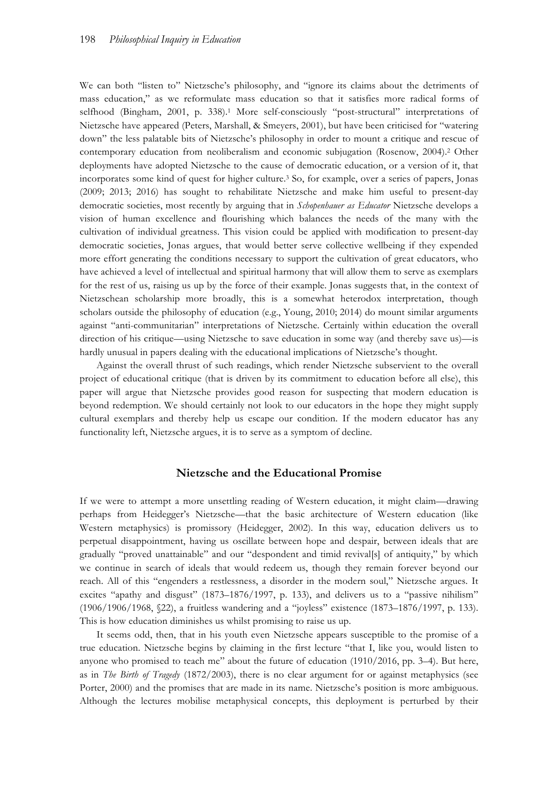We can both "listen to" Nietzsche's philosophy, and "ignore its claims about the detriments of mass education," as we reformulate mass education so that it satisfies more radical forms of selfhood (Bingham, 2001, p. 338).<sup>1</sup> More self-consciously "post-structural" interpretations of Nietzsche have appeared (Peters, Marshall, & Smeyers, 2001), but have been criticised for "watering down" the less palatable bits of Nietzsche's philosophy in order to mount a critique and rescue of contemporary education from neoliberalism and economic subjugation (Rosenow, 2004).2 Other deployments have adopted Nietzsche to the cause of democratic education, or a version of it, that incorporates some kind of quest for higher culture.3 So, for example, over a series of papers, Jonas (2009; 2013; 2016) has sought to rehabilitate Nietzsche and make him useful to present-day democratic societies, most recently by arguing that in *Schopenhauer as Educator* Nietzsche develops a vision of human excellence and flourishing which balances the needs of the many with the cultivation of individual greatness. This vision could be applied with modification to present-day democratic societies, Jonas argues, that would better serve collective wellbeing if they expended more effort generating the conditions necessary to support the cultivation of great educators, who have achieved a level of intellectual and spiritual harmony that will allow them to serve as exemplars for the rest of us, raising us up by the force of their example. Jonas suggests that, in the context of Nietzschean scholarship more broadly, this is a somewhat heterodox interpretation, though scholars outside the philosophy of education (e.g., Young, 2010; 2014) do mount similar arguments against "anti-communitarian" interpretations of Nietzsche. Certainly within education the overall direction of his critique—using Nietzsche to save education in some way (and thereby save us)—is hardly unusual in papers dealing with the educational implications of Nietzsche's thought.

Against the overall thrust of such readings, which render Nietzsche subservient to the overall project of educational critique (that is driven by its commitment to education before all else), this paper will argue that Nietzsche provides good reason for suspecting that modern education is beyond redemption. We should certainly not look to our educators in the hope they might supply cultural exemplars and thereby help us escape our condition. If the modern educator has any functionality left, Nietzsche argues, it is to serve as a symptom of decline.

#### **Nietzsche and the Educational Promise**

If we were to attempt a more unsettling reading of Western education, it might claim—drawing perhaps from Heidegger's Nietzsche—that the basic architecture of Western education (like Western metaphysics) is promissory (Heidegger, 2002). In this way, education delivers us to perpetual disappointment, having us oscillate between hope and despair, between ideals that are gradually "proved unattainable" and our "despondent and timid revival[s] of antiquity," by which we continue in search of ideals that would redeem us, though they remain forever beyond our reach. All of this "engenders a restlessness, a disorder in the modern soul," Nietzsche argues. It excites "apathy and disgust" (1873–1876/1997, p. 133), and delivers us to a "passive nihilism" (1906/1906/1968, §22), a fruitless wandering and a "joyless" existence (1873–1876/1997, p. 133). This is how education diminishes us whilst promising to raise us up.

It seems odd, then, that in his youth even Nietzsche appears susceptible to the promise of a true education. Nietzsche begins by claiming in the first lecture "that I, like you, would listen to anyone who promised to teach me" about the future of education (1910/2016, pp. 3–4). But here, as in *The Birth of Tragedy* (1872/2003), there is no clear argument for or against metaphysics (see Porter, 2000) and the promises that are made in its name. Nietzsche's position is more ambiguous. Although the lectures mobilise metaphysical concepts, this deployment is perturbed by their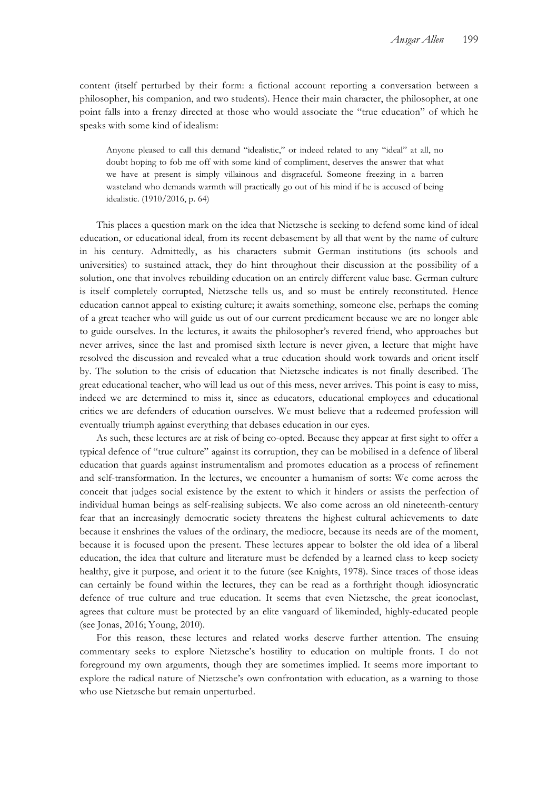content (itself perturbed by their form: a fictional account reporting a conversation between a philosopher, his companion, and two students). Hence their main character, the philosopher, at one point falls into a frenzy directed at those who would associate the "true education" of which he speaks with some kind of idealism:

Anyone pleased to call this demand "idealistic," or indeed related to any "ideal" at all, no doubt hoping to fob me off with some kind of compliment, deserves the answer that what we have at present is simply villainous and disgraceful. Someone freezing in a barren wasteland who demands warmth will practically go out of his mind if he is accused of being idealistic. (1910/2016, p. 64)

This places a question mark on the idea that Nietzsche is seeking to defend some kind of ideal education, or educational ideal, from its recent debasement by all that went by the name of culture in his century. Admittedly, as his characters submit German institutions (its schools and universities) to sustained attack, they do hint throughout their discussion at the possibility of a solution, one that involves rebuilding education on an entirely different value base. German culture is itself completely corrupted, Nietzsche tells us, and so must be entirely reconstituted. Hence education cannot appeal to existing culture; it awaits something, someone else, perhaps the coming of a great teacher who will guide us out of our current predicament because we are no longer able to guide ourselves. In the lectures, it awaits the philosopher's revered friend, who approaches but never arrives, since the last and promised sixth lecture is never given, a lecture that might have resolved the discussion and revealed what a true education should work towards and orient itself by. The solution to the crisis of education that Nietzsche indicates is not finally described. The great educational teacher, who will lead us out of this mess, never arrives. This point is easy to miss, indeed we are determined to miss it, since as educators, educational employees and educational critics we are defenders of education ourselves. We must believe that a redeemed profession will eventually triumph against everything that debases education in our eyes.

As such, these lectures are at risk of being co-opted. Because they appear at first sight to offer a typical defence of "true culture" against its corruption, they can be mobilised in a defence of liberal education that guards against instrumentalism and promotes education as a process of refinement and self-transformation. In the lectures, we encounter a humanism of sorts: We come across the conceit that judges social existence by the extent to which it hinders or assists the perfection of individual human beings as self-realising subjects. We also come across an old nineteenth-century fear that an increasingly democratic society threatens the highest cultural achievements to date because it enshrines the values of the ordinary, the mediocre, because its needs are of the moment, because it is focused upon the present. These lectures appear to bolster the old idea of a liberal education, the idea that culture and literature must be defended by a learned class to keep society healthy, give it purpose, and orient it to the future (see Knights, 1978). Since traces of those ideas can certainly be found within the lectures, they can be read as a forthright though idiosyncratic defence of true culture and true education. It seems that even Nietzsche, the great iconoclast, agrees that culture must be protected by an elite vanguard of likeminded, highly-educated people (see Jonas, 2016; Young, 2010).

For this reason, these lectures and related works deserve further attention. The ensuing commentary seeks to explore Nietzsche's hostility to education on multiple fronts. I do not foreground my own arguments, though they are sometimes implied. It seems more important to explore the radical nature of Nietzsche's own confrontation with education, as a warning to those who use Nietzsche but remain unperturbed.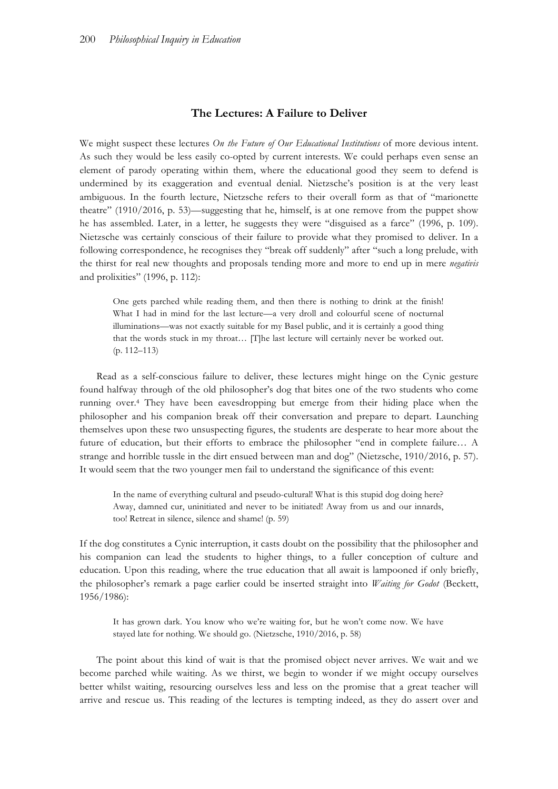# **The Lectures: A Failure to Deliver**

We might suspect these lectures *On the Future of Our Educational Institutions* of more devious intent. As such they would be less easily co-opted by current interests. We could perhaps even sense an element of parody operating within them, where the educational good they seem to defend is undermined by its exaggeration and eventual denial. Nietzsche's position is at the very least ambiguous. In the fourth lecture, Nietzsche refers to their overall form as that of "marionette theatre" (1910/2016, p. 53)—suggesting that he, himself, is at one remove from the puppet show he has assembled. Later, in a letter, he suggests they were "disguised as a farce" (1996, p. 109). Nietzsche was certainly conscious of their failure to provide what they promised to deliver. In a following correspondence, he recognises they "break off suddenly" after "such a long prelude, with the thirst for real new thoughts and proposals tending more and more to end up in mere *negativis*  and prolixities" (1996, p. 112):

One gets parched while reading them, and then there is nothing to drink at the finish! What I had in mind for the last lecture—a very droll and colourful scene of nocturnal illuminations—was not exactly suitable for my Basel public, and it is certainly a good thing that the words stuck in my throat… [T]he last lecture will certainly never be worked out. (p. 112–113)

Read as a self-conscious failure to deliver, these lectures might hinge on the Cynic gesture found halfway through of the old philosopher's dog that bites one of the two students who come running over.4 They have been eavesdropping but emerge from their hiding place when the philosopher and his companion break off their conversation and prepare to depart. Launching themselves upon these two unsuspecting figures, the students are desperate to hear more about the future of education, but their efforts to embrace the philosopher "end in complete failure… A strange and horrible tussle in the dirt ensued between man and dog" (Nietzsche, 1910/2016, p. 57). It would seem that the two younger men fail to understand the significance of this event:

In the name of everything cultural and pseudo-cultural! What is this stupid dog doing here? Away, damned cur, uninitiated and never to be initiated! Away from us and our innards, too! Retreat in silence, silence and shame! (p. 59)

If the dog constitutes a Cynic interruption, it casts doubt on the possibility that the philosopher and his companion can lead the students to higher things, to a fuller conception of culture and education. Upon this reading, where the true education that all await is lampooned if only briefly, the philosopher's remark a page earlier could be inserted straight into *Waiting for Godot* (Beckett, 1956/1986):

It has grown dark. You know who we're waiting for, but he won't come now. We have stayed late for nothing. We should go. (Nietzsche, 1910/2016, p. 58)

The point about this kind of wait is that the promised object never arrives. We wait and we become parched while waiting. As we thirst, we begin to wonder if we might occupy ourselves better whilst waiting, resourcing ourselves less and less on the promise that a great teacher will arrive and rescue us. This reading of the lectures is tempting indeed, as they do assert over and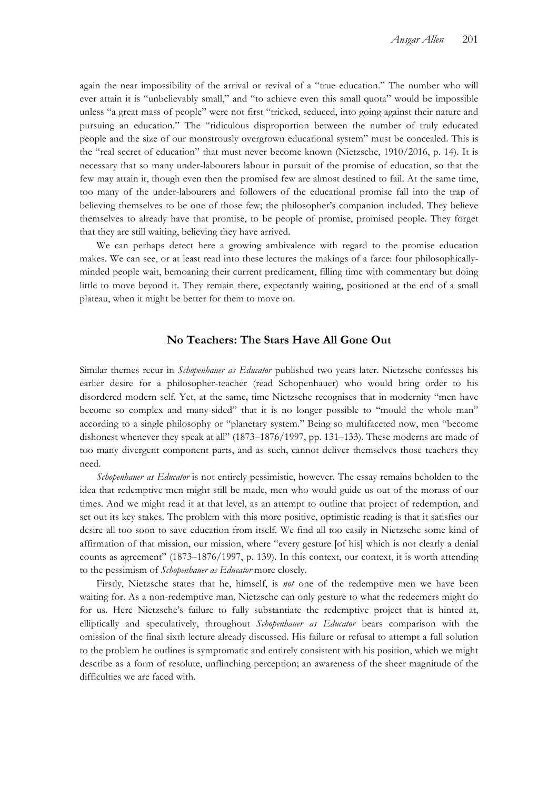again the near impossibility of the arrival or revival of a "true education." The number who will ever attain it is "unbelievably small," and "to achieve even this small quota" would be impossible unless "a great mass of people" were not first "tricked, seduced, into going against their nature and pursuing an education." The "ridiculous disproportion between the number of truly educated people and the size of our monstrously overgrown educational system" must be concealed. This is the "real secret of education" that must never become known (Nietzsche, 1910/2016, p. 14). It is necessary that so many under-labourers labour in pursuit of the promise of education, so that the few may attain it, though even then the promised few are almost destined to fail. At the same time, too many of the under-labourers and followers of the educational promise fall into the trap of believing themselves to be one of those few; the philosopher's companion included. They believe themselves to already have that promise, to be people of promise, promised people. They forget that they are still waiting, believing they have arrived.

We can perhaps detect here a growing ambivalence with regard to the promise education makes. We can see, or at least read into these lectures the makings of a farce: four philosophicallyminded people wait, bemoaning their current predicament, filling time with commentary but doing little to move beyond it. They remain there, expectantly waiting, positioned at the end of a small plateau, when it might be better for them to move on.

# **No Teachers: The Stars Have All Gone Out**

Similar themes recur in *Schopenhauer as Educator* published two years later. Nietzsche confesses his earlier desire for a philosopher-teacher (read Schopenhauer) who would bring order to his disordered modern self. Yet, at the same, time Nietzsche recognises that in modernity "men have become so complex and many-sided" that it is no longer possible to "mould the whole man" according to a single philosophy or "planetary system." Being so multifaceted now, men "become dishonest whenever they speak at all" (1873–1876/1997, pp. 131–133). These moderns are made of too many divergent component parts, and as such, cannot deliver themselves those teachers they need.

*Schopenhauer as Educator* is not entirely pessimistic, however. The essay remains beholden to the idea that redemptive men might still be made, men who would guide us out of the morass of our times. And we might read it at that level, as an attempt to outline that project of redemption, and set out its key stakes. The problem with this more positive, optimistic reading is that it satisfies our desire all too soon to save education from itself. We find all too easily in Nietzsche some kind of affirmation of that mission, our mission, where "every gesture [of his] which is not clearly a denial counts as agreement" (1873–1876/1997, p. 139). In this context, our context, it is worth attending to the pessimism of *Schopenhauer as Educator* more closely.

Firstly, Nietzsche states that he, himself, is *not* one of the redemptive men we have been waiting for. As a non-redemptive man, Nietzsche can only gesture to what the redeemers might do for us. Here Nietzsche's failure to fully substantiate the redemptive project that is hinted at, elliptically and speculatively, throughout *Schopenhauer as Educator* bears comparison with the omission of the final sixth lecture already discussed. His failure or refusal to attempt a full solution to the problem he outlines is symptomatic and entirely consistent with his position, which we might describe as a form of resolute, unflinching perception; an awareness of the sheer magnitude of the difficulties we are faced with.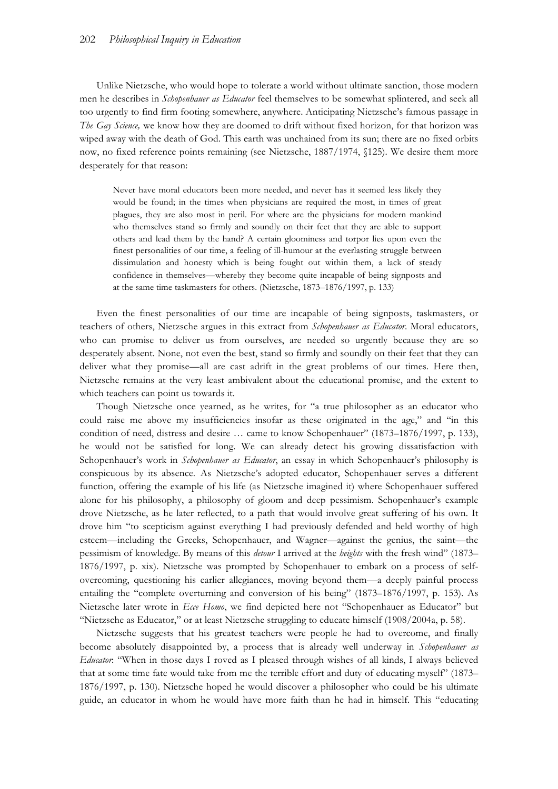Unlike Nietzsche, who would hope to tolerate a world without ultimate sanction, those modern men he describes in *Schopenhauer as Educator* feel themselves to be somewhat splintered, and seek all too urgently to find firm footing somewhere, anywhere. Anticipating Nietzsche's famous passage in *The Gay Science,* we know how they are doomed to drift without fixed horizon, for that horizon was wiped away with the death of God. This earth was unchained from its sun; there are no fixed orbits now, no fixed reference points remaining (see Nietzsche, 1887/1974, §125). We desire them more desperately for that reason:

Never have moral educators been more needed, and never has it seemed less likely they would be found; in the times when physicians are required the most, in times of great plagues, they are also most in peril. For where are the physicians for modern mankind who themselves stand so firmly and soundly on their feet that they are able to support others and lead them by the hand? A certain gloominess and torpor lies upon even the finest personalities of our time, a feeling of ill-humour at the everlasting struggle between dissimulation and honesty which is being fought out within them, a lack of steady confidence in themselves—whereby they become quite incapable of being signposts and at the same time taskmasters for others. (Nietzsche, 1873–1876/1997, p. 133)

Even the finest personalities of our time are incapable of being signposts, taskmasters, or teachers of others, Nietzsche argues in this extract from *Schopenhauer as Educator*. Moral educators, who can promise to deliver us from ourselves, are needed so urgently because they are so desperately absent. None, not even the best, stand so firmly and soundly on their feet that they can deliver what they promise—all are cast adrift in the great problems of our times. Here then, Nietzsche remains at the very least ambivalent about the educational promise, and the extent to which teachers can point us towards it.

Though Nietzsche once yearned, as he writes, for "a true philosopher as an educator who could raise me above my insufficiencies insofar as these originated in the age," and "in this condition of need, distress and desire … came to know Schopenhauer" (1873–1876/1997, p. 133), he would not be satisfied for long. We can already detect his growing dissatisfaction with Schopenhauer's work in *Schopenhauer as Educator*, an essay in which Schopenhauer's philosophy is conspicuous by its absence. As Nietzsche's adopted educator, Schopenhauer serves a different function, offering the example of his life (as Nietzsche imagined it) where Schopenhauer suffered alone for his philosophy, a philosophy of gloom and deep pessimism. Schopenhauer's example drove Nietzsche, as he later reflected, to a path that would involve great suffering of his own. It drove him "to scepticism against everything I had previously defended and held worthy of high esteem—including the Greeks, Schopenhauer, and Wagner—against the genius, the saint—the pessimism of knowledge. By means of this *detour* I arrived at the *heights* with the fresh wind" (1873– 1876/1997, p. xix). Nietzsche was prompted by Schopenhauer to embark on a process of selfovercoming, questioning his earlier allegiances, moving beyond them—a deeply painful process entailing the "complete overturning and conversion of his being" (1873–1876/1997, p. 153). As Nietzsche later wrote in *Ecce Homo*, we find depicted here not "Schopenhauer as Educator" but "Nietzsche as Educator," or at least Nietzsche struggling to educate himself (1908/2004a, p. 58).

Nietzsche suggests that his greatest teachers were people he had to overcome, and finally become absolutely disappointed by, a process that is already well underway in *Schopenhauer as Educator*: "When in those days I roved as I pleased through wishes of all kinds, I always believed that at some time fate would take from me the terrible effort and duty of educating myself" (1873– 1876/1997, p. 130). Nietzsche hoped he would discover a philosopher who could be his ultimate guide, an educator in whom he would have more faith than he had in himself. This "educating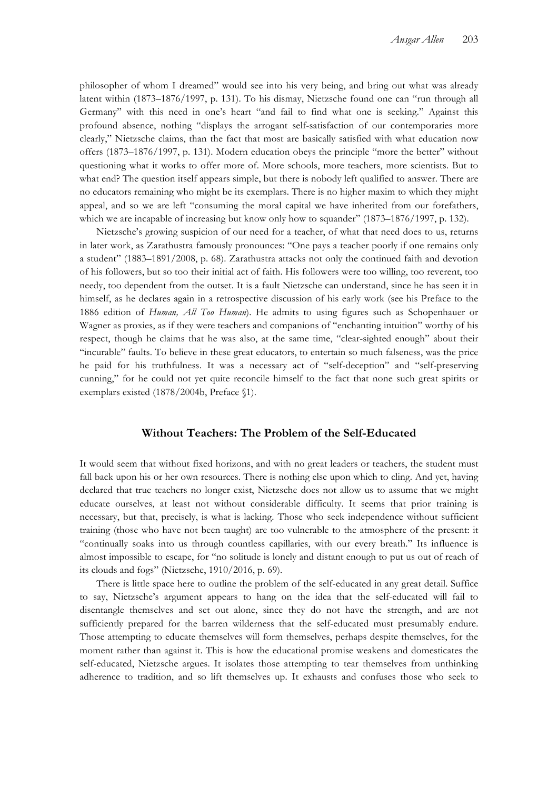philosopher of whom I dreamed" would see into his very being, and bring out what was already latent within (1873–1876/1997, p. 131). To his dismay, Nietzsche found one can "run through all Germany" with this need in one's heart "and fail to find what one is seeking." Against this profound absence, nothing "displays the arrogant self-satisfaction of our contemporaries more clearly," Nietzsche claims, than the fact that most are basically satisfied with what education now offers (1873–1876/1997, p. 131). Modern education obeys the principle "more the better" without questioning what it works to offer more of. More schools, more teachers, more scientists. But to what end? The question itself appears simple, but there is nobody left qualified to answer. There are no educators remaining who might be its exemplars. There is no higher maxim to which they might appeal, and so we are left "consuming the moral capital we have inherited from our forefathers, which we are incapable of increasing but know only how to squander" (1873–1876/1997, p. 132).

Nietzsche's growing suspicion of our need for a teacher, of what that need does to us, returns in later work, as Zarathustra famously pronounces: "One pays a teacher poorly if one remains only a student" (1883–1891/2008, p. 68). Zarathustra attacks not only the continued faith and devotion of his followers, but so too their initial act of faith. His followers were too willing, too reverent, too needy, too dependent from the outset. It is a fault Nietzsche can understand, since he has seen it in himself, as he declares again in a retrospective discussion of his early work (see his Preface to the 1886 edition of *Human, All Too Human*). He admits to using figures such as Schopenhauer or Wagner as proxies, as if they were teachers and companions of "enchanting intuition" worthy of his respect, though he claims that he was also, at the same time, "clear-sighted enough" about their "incurable" faults. To believe in these great educators, to entertain so much falseness, was the price he paid for his truthfulness. It was a necessary act of "self-deception" and "self-preserving cunning," for he could not yet quite reconcile himself to the fact that none such great spirits or exemplars existed (1878/2004b, Preface §1).

# **Without Teachers: The Problem of the Self-Educated**

It would seem that without fixed horizons, and with no great leaders or teachers, the student must fall back upon his or her own resources. There is nothing else upon which to cling. And yet, having declared that true teachers no longer exist, Nietzsche does not allow us to assume that we might educate ourselves, at least not without considerable difficulty. It seems that prior training is necessary, but that, precisely, is what is lacking. Those who seek independence without sufficient training (those who have not been taught) are too vulnerable to the atmosphere of the present: it "continually soaks into us through countless capillaries, with our every breath." Its influence is almost impossible to escape, for "no solitude is lonely and distant enough to put us out of reach of its clouds and fogs" (Nietzsche, 1910/2016, p. 69).

There is little space here to outline the problem of the self-educated in any great detail. Suffice to say, Nietzsche's argument appears to hang on the idea that the self-educated will fail to disentangle themselves and set out alone, since they do not have the strength, and are not sufficiently prepared for the barren wilderness that the self-educated must presumably endure. Those attempting to educate themselves will form themselves, perhaps despite themselves, for the moment rather than against it. This is how the educational promise weakens and domesticates the self-educated, Nietzsche argues. It isolates those attempting to tear themselves from unthinking adherence to tradition, and so lift themselves up. It exhausts and confuses those who seek to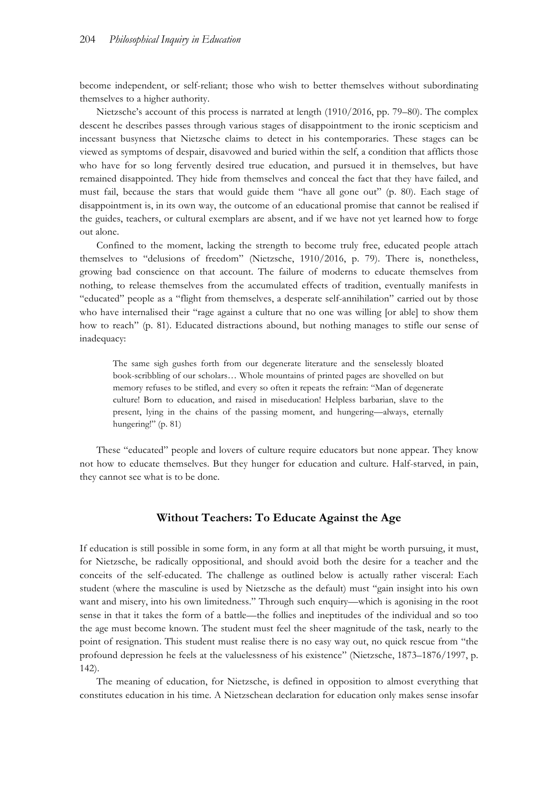become independent, or self-reliant; those who wish to better themselves without subordinating themselves to a higher authority.

Nietzsche's account of this process is narrated at length (1910/2016, pp. 79–80). The complex descent he describes passes through various stages of disappointment to the ironic scepticism and incessant busyness that Nietzsche claims to detect in his contemporaries. These stages can be viewed as symptoms of despair, disavowed and buried within the self, a condition that afflicts those who have for so long fervently desired true education, and pursued it in themselves, but have remained disappointed. They hide from themselves and conceal the fact that they have failed, and must fail, because the stars that would guide them "have all gone out" (p. 80). Each stage of disappointment is, in its own way, the outcome of an educational promise that cannot be realised if the guides, teachers, or cultural exemplars are absent, and if we have not yet learned how to forge out alone.

Confined to the moment, lacking the strength to become truly free, educated people attach themselves to "delusions of freedom" (Nietzsche, 1910/2016, p. 79). There is, nonetheless, growing bad conscience on that account. The failure of moderns to educate themselves from nothing, to release themselves from the accumulated effects of tradition, eventually manifests in "educated" people as a "flight from themselves, a desperate self-annihilation" carried out by those who have internalised their "rage against a culture that no one was willing [or able] to show them how to reach" (p. 81). Educated distractions abound, but nothing manages to stifle our sense of inadequacy:

The same sigh gushes forth from our degenerate literature and the senselessly bloated book-scribbling of our scholars… Whole mountains of printed pages are shovelled on but memory refuses to be stifled, and every so often it repeats the refrain: "Man of degenerate culture! Born to education, and raised in miseducation! Helpless barbarian, slave to the present, lying in the chains of the passing moment, and hungering—always, eternally hungering!" (p. 81)

These "educated" people and lovers of culture require educators but none appear. They know not how to educate themselves. But they hunger for education and culture. Half-starved, in pain, they cannot see what is to be done.

# **Without Teachers: To Educate Against the Age**

If education is still possible in some form, in any form at all that might be worth pursuing, it must, for Nietzsche, be radically oppositional, and should avoid both the desire for a teacher and the conceits of the self-educated. The challenge as outlined below is actually rather visceral: Each student (where the masculine is used by Nietzsche as the default) must "gain insight into his own want and misery, into his own limitedness." Through such enquiry—which is agonising in the root sense in that it takes the form of a battle—the follies and ineptitudes of the individual and so too the age must become known. The student must feel the sheer magnitude of the task, nearly to the point of resignation. This student must realise there is no easy way out, no quick rescue from "the profound depression he feels at the valuelessness of his existence" (Nietzsche, 1873–1876/1997, p. 142).

The meaning of education, for Nietzsche, is defined in opposition to almost everything that constitutes education in his time. A Nietzschean declaration for education only makes sense insofar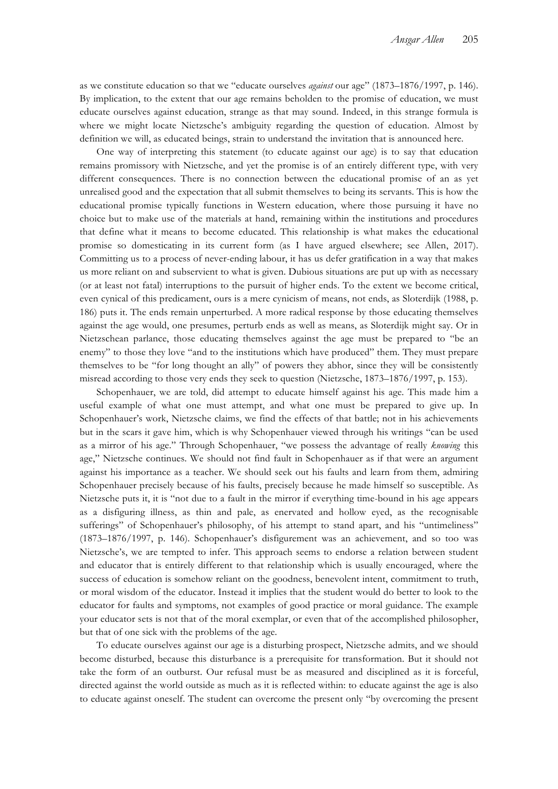as we constitute education so that we "educate ourselves *against* our age" (1873–1876/1997, p. 146). By implication, to the extent that our age remains beholden to the promise of education, we must educate ourselves against education, strange as that may sound. Indeed, in this strange formula is where we might locate Nietzsche's ambiguity regarding the question of education. Almost by definition we will, as educated beings, strain to understand the invitation that is announced here.

One way of interpreting this statement (to educate against our age) is to say that education remains promissory with Nietzsche, and yet the promise is of an entirely different type, with very different consequences. There is no connection between the educational promise of an as yet unrealised good and the expectation that all submit themselves to being its servants. This is how the educational promise typically functions in Western education, where those pursuing it have no choice but to make use of the materials at hand, remaining within the institutions and procedures that define what it means to become educated. This relationship is what makes the educational promise so domesticating in its current form (as I have argued elsewhere; see Allen, 2017). Committing us to a process of never-ending labour, it has us defer gratification in a way that makes us more reliant on and subservient to what is given. Dubious situations are put up with as necessary (or at least not fatal) interruptions to the pursuit of higher ends. To the extent we become critical, even cynical of this predicament, ours is a mere cynicism of means, not ends, as Sloterdijk (1988, p. 186) puts it. The ends remain unperturbed. A more radical response by those educating themselves against the age would, one presumes, perturb ends as well as means, as Sloterdijk might say. Or in Nietzschean parlance, those educating themselves against the age must be prepared to "be an enemy" to those they love "and to the institutions which have produced" them. They must prepare themselves to be "for long thought an ally" of powers they abhor, since they will be consistently misread according to those very ends they seek to question (Nietzsche, 1873–1876/1997, p. 153).

Schopenhauer, we are told, did attempt to educate himself against his age. This made him a useful example of what one must attempt, and what one must be prepared to give up. In Schopenhauer's work, Nietzsche claims, we find the effects of that battle; not in his achievements but in the scars it gave him, which is why Schopenhauer viewed through his writings "can be used as a mirror of his age." Through Schopenhauer, "we possess the advantage of really *knowing* this age," Nietzsche continues. We should not find fault in Schopenhauer as if that were an argument against his importance as a teacher. We should seek out his faults and learn from them, admiring Schopenhauer precisely because of his faults, precisely because he made himself so susceptible. As Nietzsche puts it, it is "not due to a fault in the mirror if everything time-bound in his age appears as a disfiguring illness, as thin and pale, as enervated and hollow eyed, as the recognisable sufferings" of Schopenhauer's philosophy, of his attempt to stand apart, and his "untimeliness" (1873–1876/1997, p. 146). Schopenhauer's disfigurement was an achievement, and so too was Nietzsche's, we are tempted to infer. This approach seems to endorse a relation between student and educator that is entirely different to that relationship which is usually encouraged, where the success of education is somehow reliant on the goodness, benevolent intent, commitment to truth, or moral wisdom of the educator. Instead it implies that the student would do better to look to the educator for faults and symptoms, not examples of good practice or moral guidance. The example your educator sets is not that of the moral exemplar, or even that of the accomplished philosopher, but that of one sick with the problems of the age.

To educate ourselves against our age is a disturbing prospect, Nietzsche admits, and we should become disturbed, because this disturbance is a prerequisite for transformation. But it should not take the form of an outburst. Our refusal must be as measured and disciplined as it is forceful, directed against the world outside as much as it is reflected within: to educate against the age is also to educate against oneself. The student can overcome the present only "by overcoming the present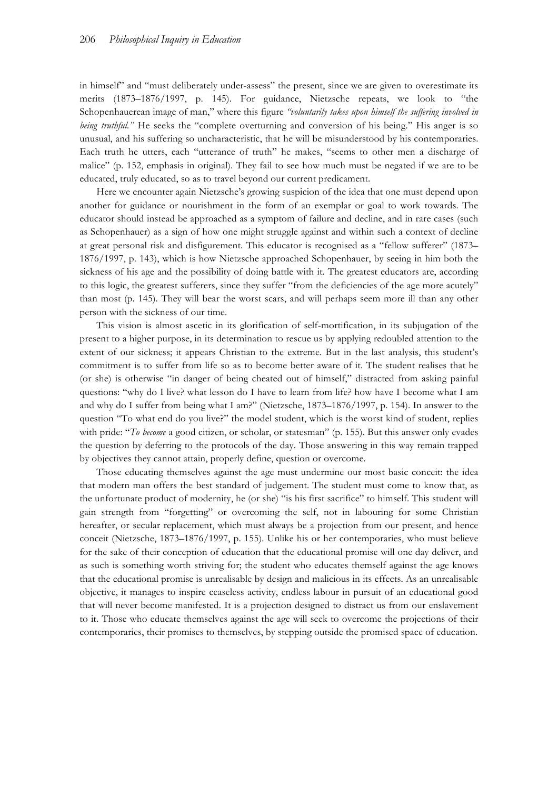in himself" and "must deliberately under-assess" the present, since we are given to overestimate its merits (1873–1876/1997, p. 145). For guidance, Nietzsche repeats, we look to "the Schopenhauerean image of man," where this figure *"voluntarily takes upon himself the suffering involved in being truthful.*" He seeks the "complete overturning and conversion of his being." His anger is so unusual, and his suffering so uncharacteristic, that he will be misunderstood by his contemporaries. Each truth he utters, each "utterance of truth" he makes, "seems to other men a discharge of malice" (p. 152, emphasis in original). They fail to see how much must be negated if we are to be educated, truly educated, so as to travel beyond our current predicament.

Here we encounter again Nietzsche's growing suspicion of the idea that one must depend upon another for guidance or nourishment in the form of an exemplar or goal to work towards. The educator should instead be approached as a symptom of failure and decline, and in rare cases (such as Schopenhauer) as a sign of how one might struggle against and within such a context of decline at great personal risk and disfigurement. This educator is recognised as a "fellow sufferer" (1873– 1876/1997, p. 143), which is how Nietzsche approached Schopenhauer, by seeing in him both the sickness of his age and the possibility of doing battle with it. The greatest educators are, according to this logic, the greatest sufferers, since they suffer "from the deficiencies of the age more acutely" than most (p. 145). They will bear the worst scars, and will perhaps seem more ill than any other person with the sickness of our time.

This vision is almost ascetic in its glorification of self-mortification, in its subjugation of the present to a higher purpose, in its determination to rescue us by applying redoubled attention to the extent of our sickness; it appears Christian to the extreme. But in the last analysis, this student's commitment is to suffer from life so as to become better aware of it. The student realises that he (or she) is otherwise "in danger of being cheated out of himself," distracted from asking painful questions: "why do I live? what lesson do I have to learn from life? how have I become what I am and why do I suffer from being what I am?" (Nietzsche, 1873–1876/1997, p. 154). In answer to the question "To what end do you live?" the model student, which is the worst kind of student, replies with pride: "*To become* a good citizen, or scholar, or statesman" (p. 155). But this answer only evades the question by deferring to the protocols of the day. Those answering in this way remain trapped by objectives they cannot attain, properly define, question or overcome.

Those educating themselves against the age must undermine our most basic conceit: the idea that modern man offers the best standard of judgement. The student must come to know that, as the unfortunate product of modernity, he (or she) "is his first sacrifice" to himself. This student will gain strength from "forgetting" or overcoming the self, not in labouring for some Christian hereafter, or secular replacement, which must always be a projection from our present, and hence conceit (Nietzsche, 1873–1876/1997, p. 155). Unlike his or her contemporaries, who must believe for the sake of their conception of education that the educational promise will one day deliver, and as such is something worth striving for; the student who educates themself against the age knows that the educational promise is unrealisable by design and malicious in its effects. As an unrealisable objective, it manages to inspire ceaseless activity, endless labour in pursuit of an educational good that will never become manifested. It is a projection designed to distract us from our enslavement to it. Those who educate themselves against the age will seek to overcome the projections of their contemporaries, their promises to themselves, by stepping outside the promised space of education.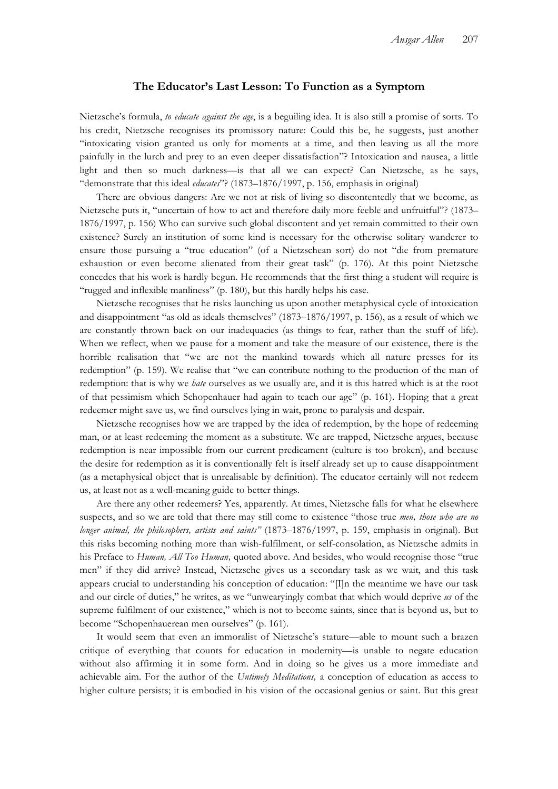## **The Educator's Last Lesson: To Function as a Symptom**

Nietzsche's formula, *to educate against the age*, is a beguiling idea. It is also still a promise of sorts. To his credit, Nietzsche recognises its promissory nature: Could this be, he suggests, just another "intoxicating vision granted us only for moments at a time, and then leaving us all the more painfully in the lurch and prey to an even deeper dissatisfaction"? Intoxication and nausea, a little light and then so much darkness—is that all we can expect? Can Nietzsche, as he says, "demonstrate that this ideal *educates*"? (1873–1876/1997, p. 156, emphasis in original)

There are obvious dangers: Are we not at risk of living so discontentedly that we become, as Nietzsche puts it, "uncertain of how to act and therefore daily more feeble and unfruitful"? (1873– 1876/1997, p. 156) Who can survive such global discontent and yet remain committed to their own existence? Surely an institution of some kind is necessary for the otherwise solitary wanderer to ensure those pursuing a "true education" (of a Nietzschean sort) do not "die from premature exhaustion or even become alienated from their great task" (p. 176). At this point Nietzsche concedes that his work is hardly begun. He recommends that the first thing a student will require is "rugged and inflexible manliness" (p. 180), but this hardly helps his case.

Nietzsche recognises that he risks launching us upon another metaphysical cycle of intoxication and disappointment "as old as ideals themselves" (1873–1876/1997, p. 156), as a result of which we are constantly thrown back on our inadequacies (as things to fear, rather than the stuff of life). When we reflect, when we pause for a moment and take the measure of our existence, there is the horrible realisation that "we are not the mankind towards which all nature presses for its redemption" (p. 159). We realise that "we can contribute nothing to the production of the man of redemption: that is why we *hate* ourselves as we usually are, and it is this hatred which is at the root of that pessimism which Schopenhauer had again to teach our age" (p. 161). Hoping that a great redeemer might save us, we find ourselves lying in wait, prone to paralysis and despair.

Nietzsche recognises how we are trapped by the idea of redemption, by the hope of redeeming man, or at least redeeming the moment as a substitute. We are trapped, Nietzsche argues, because redemption is near impossible from our current predicament (culture is too broken), and because the desire for redemption as it is conventionally felt is itself already set up to cause disappointment (as a metaphysical object that is unrealisable by definition). The educator certainly will not redeem us, at least not as a well-meaning guide to better things.

Are there any other redeemers? Yes, apparently. At times, Nietzsche falls for what he elsewhere suspects, and so we are told that there may still come to existence "those true *men, those who are no longer animal, the philosophers, artists and saints"* (1873–1876/1997, p. 159, emphasis in original). But this risks becoming nothing more than wish-fulfilment, or self-consolation, as Nietzsche admits in his Preface to *Human, All Too Human,* quoted above. And besides, who would recognise those "true men" if they did arrive? Instead, Nietzsche gives us a secondary task as we wait, and this task appears crucial to understanding his conception of education: "[I]n the meantime we have our task and our circle of duties," he writes, as we "unwearyingly combat that which would deprive *us* of the supreme fulfilment of our existence," which is not to become saints, since that is beyond us, but to become "Schopenhauerean men ourselves" (p. 161).

It would seem that even an immoralist of Nietzsche's stature—able to mount such a brazen critique of everything that counts for education in modernity—is unable to negate education without also affirming it in some form. And in doing so he gives us a more immediate and achievable aim. For the author of the *Untimely Meditations,* a conception of education as access to higher culture persists; it is embodied in his vision of the occasional genius or saint. But this great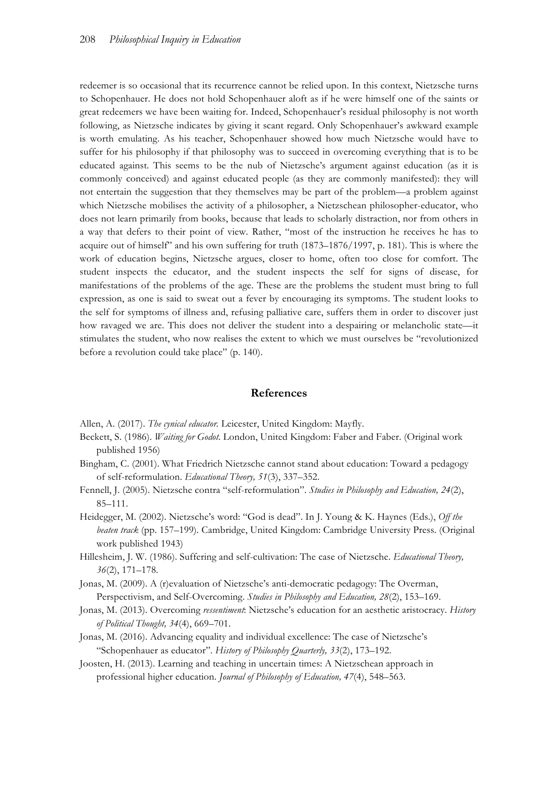redeemer is so occasional that its recurrence cannot be relied upon. In this context, Nietzsche turns to Schopenhauer. He does not hold Schopenhauer aloft as if he were himself one of the saints or great redeemers we have been waiting for. Indeed, Schopenhauer's residual philosophy is not worth following, as Nietzsche indicates by giving it scant regard. Only Schopenhauer's awkward example is worth emulating. As his teacher, Schopenhauer showed how much Nietzsche would have to suffer for his philosophy if that philosophy was to succeed in overcoming everything that is to be educated against. This seems to be the nub of Nietzsche's argument against education (as it is commonly conceived) and against educated people (as they are commonly manifested): they will not entertain the suggestion that they themselves may be part of the problem—a problem against which Nietzsche mobilises the activity of a philosopher, a Nietzschean philosopher-educator, who does not learn primarily from books, because that leads to scholarly distraction, nor from others in a way that defers to their point of view. Rather, "most of the instruction he receives he has to acquire out of himself" and his own suffering for truth (1873–1876/1997, p. 181). This is where the work of education begins, Nietzsche argues, closer to home, often too close for comfort. The student inspects the educator, and the student inspects the self for signs of disease, for manifestations of the problems of the age. These are the problems the student must bring to full expression, as one is said to sweat out a fever by encouraging its symptoms. The student looks to the self for symptoms of illness and, refusing palliative care, suffers them in order to discover just how ravaged we are. This does not deliver the student into a despairing or melancholic state—it stimulates the student, who now realises the extent to which we must ourselves be "revolutionized before a revolution could take place" (p. 140).

#### **References**

- Allen, A. (2017). *The cynical educator.* Leicester, United Kingdom: Mayfly.
- Beckett, S. (1986). *Waiting for Godot.* London, United Kingdom: Faber and Faber. (Original work published 1956)
- Bingham, C. (2001). What Friedrich Nietzsche cannot stand about education: Toward a pedagogy of self-reformulation. *Educational Theory, 51*(3), 337–352.
- Fennell, J. (2005). Nietzsche contra "self-reformulation". *Studies in Philosophy and Education, 24*(2), 85–111.
- Heidegger, M. (2002). Nietzsche's word: "God is dead". In J. Young & K. Haynes (Eds.), *Off the beaten track* (pp. 157–199)*.* Cambridge, United Kingdom: Cambridge University Press. (Original work published 1943)
- Hillesheim, J. W. (1986). Suffering and self-cultivation: The case of Nietzsche. *Educational Theory, 36*(2), 171–178.
- Jonas, M. (2009). A (r)evaluation of Nietzsche's anti-democratic pedagogy: The Overman, Perspectivism, and Self-Overcoming. *Studies in Philosophy and Education, 28*(2), 153–169.
- Jonas, M. (2013). Overcoming *ressentiment*: Nietzsche's education for an aesthetic aristocracy. *History of Political Thought, 34*(4), 669–701.
- Jonas, M. (2016). Advancing equality and individual excellence: The case of Nietzsche's "Schopenhauer as educator"*. History of Philosophy Quarterly, 33*(2), 173–192.
- Joosten, H. (2013). Learning and teaching in uncertain times: A Nietzschean approach in professional higher education. *Journal of Philosophy of Education, 47*(4), 548–563.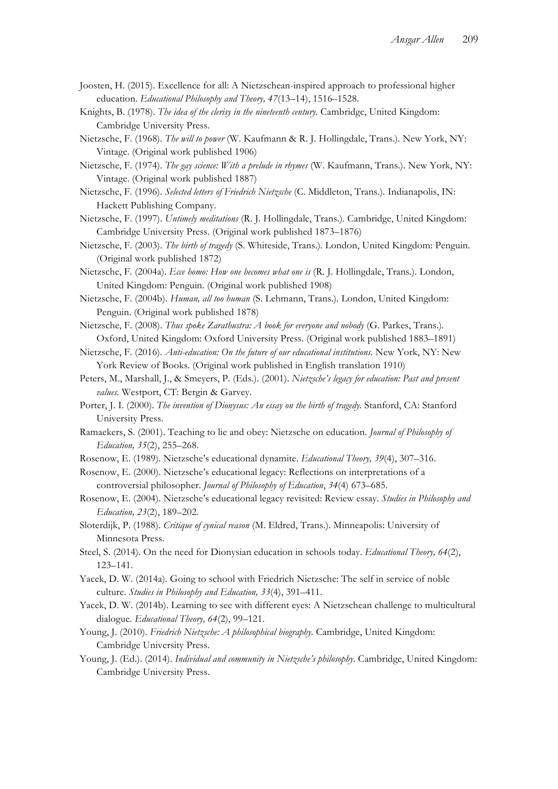- Joosten, H. (2015). Excellence for all: A Nietzschean-inspired approach to professional higher education. *Educational Philosophy and Theory, 47*(13–14), 1516–1528.
- Knights, B. (1978). *The idea of the clerisy in the nineteenth century.* Cambridge, United Kingdom: Cambridge University Press.
- Nietzsche, F. (1968). *The will to power* (W. Kaufmann & R. J. Hollingdale, Trans.)*.* New York, NY: Vintage. (Original work published 1906)
- Nietzsche, F. (1974). *The gay science: With a prelude in rhymes* (W. Kaufmann, Trans.). New York, NY: Vintage. (Original work published 1887)
- Nietzsche, F. (1996). *Selected letters of Friedrich Nietzsche* (C. Middleton, Trans.)*.* Indianapolis, IN: Hackett Publishing Company.
- Nietzsche, F. (1997). *Untimely meditations* (R. J. Hollingdale, Trans.)*.* Cambridge, United Kingdom: Cambridge University Press. (Original work published 1873–1876)
- Nietzsche, F. (2003). *The birth of tragedy* (S. Whiteside, Trans.)*.* London, United Kingdom: Penguin. (Original work published 1872)
- Nietzsche, F. (2004a). *Ecce homo: How one becomes what one is* (R. J. Hollingdale, Trans.)*.* London, United Kingdom: Penguin. (Original work published 1908)
- Nietzsche, F. (2004b). *Human, all too human* (S. Lehmann, Trans.)*.* London, United Kingdom: Penguin. (Original work published 1878)
- Nietzsche, F. (2008). *Thus spoke Zarathustra: A book for everyone and nobody* (G. Parkes, Trans.)*.*  Oxford, United Kingdom: Oxford University Press. (Original work published 1883–1891)
- Nietzsche, F. (2016). *Anti-education: On the future of our educational institutions.* New York, NY: New York Review of Books. (Original work published in English translation 1910)
- Peters, M., Marshall, J., & Smeyers, P. (Eds.). (2001). *Nietzsche's legacy for education: Past and present values.* Westport, CT: Bergin & Garvey.
- Porter, J. I. (2000). *The invention of Dionysus: An essay on the birth of tragedy.* Stanford, CA: Stanford University Press.
- Ramaekers, S. (2001). Teaching to lie and obey: Nietzsche on education. *Journal of Philosophy of Education, 35*(2), 255–268.
- Rosenow, E. (1989). Nietzsche's educational dynamite. *Educational Theory, 39*(4), 307–316.
- Rosenow, E. (2000). Nietzsche's educational legacy: Reflections on interpretations of a controversial philosopher. *Journal of Philosophy of Education*, *34*(4) 673–685.
- Rosenow, E. (2004). Nietzsche's educational legacy revisited: Review essay. *Studies in Philosophy and Education, 23*(2), 189–202.
- Sloterdijk, P. (1988). *Critique of cynical reason* (M. Eldred, Trans.)*.* Minneapolis: University of Minnesota Press.
- Steel, S. (2014). On the need for Dionysian education in schools today. *Educational Theory, 64*(2), 123–141.
- Yacek, D. W. (2014a). Going to school with Friedrich Nietzsche: The self in service of noble culture. *Studies in Philosophy and Education, 33*(4), 391–411.
- Yacek, D. W. (2014b). Learning to see with different eyes: A Nietzschean challenge to multicultural dialogue. *Educational Theory, 64*(2), 99–121.
- Young, J. (2010). *Friedrich Nietzsche: A philosophical biography.* Cambridge, United Kingdom: Cambridge University Press.
- Young, J. (Ed.). (2014). *Individual and community in Nietzsche's philosophy.* Cambridge, United Kingdom: Cambridge University Press.